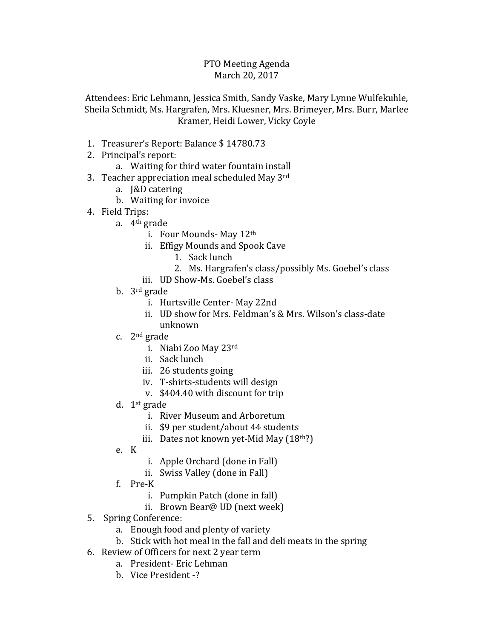## PTO Meeting Agenda March 20, 2017

Attendees: Eric Lehmann, Jessica Smith, Sandy Vaske, Mary Lynne Wulfekuhle, Sheila Schmidt, Ms. Hargrafen, Mrs. Kluesner, Mrs. Brimeyer, Mrs. Burr, Marlee Kramer, Heidi Lower, Vicky Coyle

- 1. Treasurer's Report: Balance \$ 14780.73
- 2. Principal's report:
	- a. Waiting for third water fountain install
- 3. Teacher appreciation meal scheduled May 3rd
	- a. J&D catering
	- b. Waiting for invoice
- 4. Field Trips:
	- a. 4th grade
		- i. Four Mounds- May 12th
		- ii. Effigy Mounds and Spook Cave
			- 1. Sack lunch
			- 2. Ms. Hargrafen's class/possibly Ms. Goebel's class
		- iii. UD Show-Ms. Goebel's class
	- b. 3rd grade
		- i. Hurtsville Center- May 22nd
		- ii. UD show for Mrs. Feldman's & Mrs. Wilson's class-date unknown
	- c. 2nd grade
		- i. Niabi Zoo May 23rd
		- ii. Sack lunch
		- iii. 26 students going
		- iv. T-shirts-students will design
		- v. \$404.40 with discount for trip
	- d. 1st grade
		- i. River Museum and Arboretum
		- ii. \$9 per student/about 44 students
		- iii. Dates not known yet-Mid May  $(18<sup>th</sup>)$
	- e. K
- i. Apple Orchard (done in Fall)
- ii. Swiss Valley (done in Fall)
- f. Pre-K
	- i. Pumpkin Patch (done in fall)
	- ii. Brown Bear@ UD (next week)
- 5. Spring Conference:
	- a. Enough food and plenty of variety
	- b. Stick with hot meal in the fall and deli meats in the spring
- 6. Review of Officers for next 2 year term
	- a. President- Eric Lehman
	- b. Vice President -?